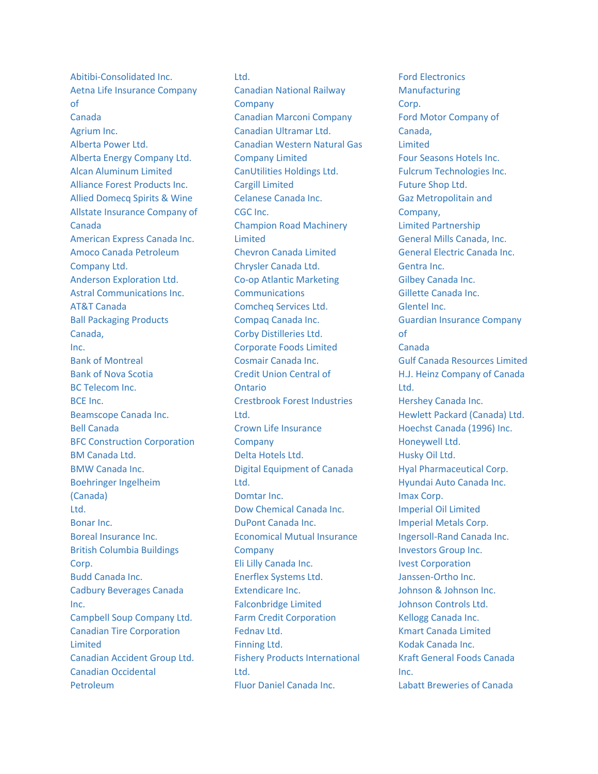Abitibi-Consolidated Inc. Aetna Life Insurance Company of Canada Agrium Inc. Alberta Power Ltd. Alberta Energy Company Ltd. Alcan Aluminum Limited Alliance Forest Products Inc. Allied Domecq Spirits & Wine Allstate Insurance Company of Canada American Express Canada Inc. Amoco Canada Petroleum Company Ltd. Anderson Exploration Ltd. Astral Communications Inc. AT&T Canada Ball Packaging Products Canada, Inc. Bank of Montreal Bank of Nova Scotia BC Telecom Inc. BCE Inc. Beamscope Canada Inc. Bell Canada BFC Construction Corporation BM Canada Ltd. BMW Canada Inc. Boehringer Ingelheim (Canada) Ltd. Bonar Inc. Boreal Insurance Inc. British Columbia Buildings Corp. Budd Canada Inc. Cadbury Beverages Canada Inc. Campbell Soup Company Ltd. Canadian Tire Corporation Limited Canadian Accident Group Ltd. Canadian Occidental Petroleum

## Ltd. Canadian National Railway **Company** Canadian Marconi Company Canadian Ultramar Ltd. Canadian Western Natural Gas Company Limited CanUtilities Holdings Ltd. Cargill Limited Celanese Canada Inc. CGC Inc. Champion Road Machinery Limited Chevron Canada Limited Chrysler Canada Ltd. Co-op Atlantic Marketing **Communications** Comcheq Services Ltd. Compaq Canada Inc. Corby Distilleries Ltd. Corporate Foods Limited Cosmair Canada Inc. Credit Union Central of Ontario Crestbrook Forest Industries Ltd. Crown Life Insurance Company Delta Hotels Ltd. Digital Equipment of Canada Ltd. Domtar Inc. Dow Chemical Canada Inc. DuPont Canada Inc. Economical Mutual Insurance Company Eli Lilly Canada Inc. Enerflex Systems Ltd. Extendicare Inc. Falconbridge Limited Farm Credit Corporation Fednav Ltd. Finning Ltd. Fishery Products International Ltd. Fluor Daniel Canada Inc.

Ford Electronics **Manufacturing** Corp. Ford Motor Company of Canada, Limited Four Seasons Hotels Inc. Fulcrum Technologies Inc. Future Shop Ltd. Gaz Metropolitain and Company, Limited Partnership General Mills Canada, Inc. General Electric Canada Inc. Gentra Inc. Gilbey Canada Inc. Gillette Canada Inc. Glentel Inc. Guardian Insurance Company of Canada Gulf Canada Resources Limited H.J. Heinz Company of Canada Ltd. Hershey Canada Inc. Hewlett Packard (Canada) Ltd. Hoechst Canada (1996) Inc. Honeywell Ltd. Husky Oil Ltd. Hyal Pharmaceutical Corp. Hyundai Auto Canada Inc. Imax Corp. Imperial Oil Limited Imperial Metals Corp. Ingersoll-Rand Canada Inc. Investors Group Inc. Ivest Corporation Janssen-Ortho Inc. Johnson & Johnson Inc. Johnson Controls Ltd. Kellogg Canada Inc. Kmart Canada Limited Kodak Canada Inc. Kraft General Foods Canada Inc. Labatt Breweries of Canada